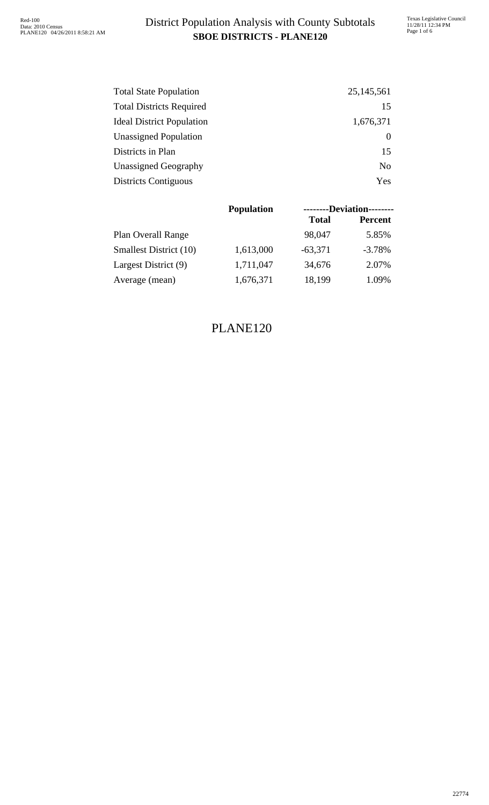### **SBOE DISTRICTS - PLANE120** District Population Analysis with County Subtotals

| <b>Total State Population</b>    | 25, 145, 561   |
|----------------------------------|----------------|
| <b>Total Districts Required</b>  | 15             |
| <b>Ideal District Population</b> | 1,676,371      |
| <b>Unassigned Population</b>     |                |
| Districts in Plan                | 15             |
| <b>Unassigned Geography</b>      | N <sub>0</sub> |
| <b>Districts Contiguous</b>      | Yes            |

|                           | <b>Population</b><br><b>Total</b><br>98,047<br>1,613,000<br>$-63,371$<br>1,711,047<br>34,676<br>1,676,371<br>18,199 |  | --------Deviation-------- |  |  |
|---------------------------|---------------------------------------------------------------------------------------------------------------------|--|---------------------------|--|--|
|                           |                                                                                                                     |  | <b>Percent</b>            |  |  |
| <b>Plan Overall Range</b> |                                                                                                                     |  | 5.85%                     |  |  |
| Smallest District (10)    |                                                                                                                     |  | $-3.78%$                  |  |  |
| Largest District (9)      |                                                                                                                     |  | 2.07%                     |  |  |
| Average (mean)            |                                                                                                                     |  | 1.09%                     |  |  |

#### PLANE120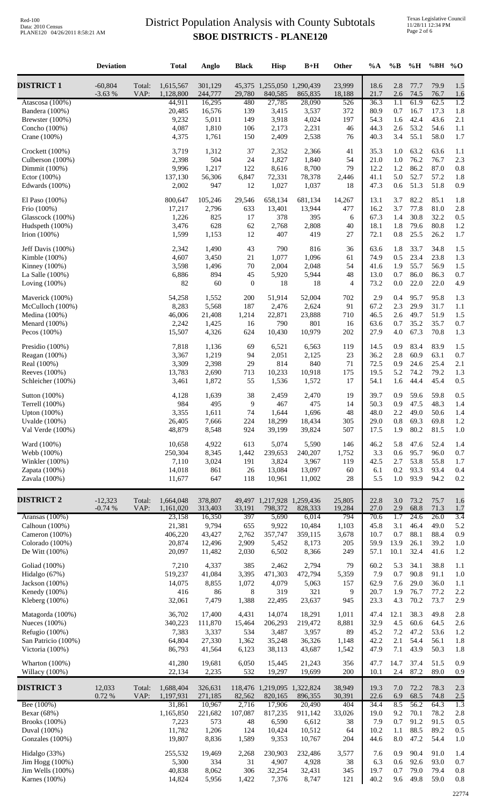### **SBOE DISTRICTS - PLANE120** District Population Analysis with County Subtotals

|                                      | <b>Deviation</b>      |                | <b>Total</b>           | Anglo              | <b>Black</b>     | <b>Hisp</b>                            | $B+H$             | Other            | %A           | $\%B$          | %H           | %BH                | $\%$ O                  |
|--------------------------------------|-----------------------|----------------|------------------------|--------------------|------------------|----------------------------------------|-------------------|------------------|--------------|----------------|--------------|--------------------|-------------------------|
| <b>DISTRICT 1</b>                    | $-60,804$<br>$-3.63%$ | Total:<br>VAP: | 1,615,567<br>1,128,800 | 301,129<br>244,777 | 29,780           | 45,375 1,255,050 1,290,439<br>840,585  | 865,835           | 23,999<br>18,188 | 18.6<br>21.7 | 2.8<br>2.6     | 77.7<br>74.5 | 79.9<br>76.7       | 1.5<br>1.6              |
| Atascosa (100%)<br>Bandera (100%)    |                       |                | 44,911<br>20,485       | 16,295<br>16,576   | 480<br>139       | 27,785<br>3,415                        | 28,090<br>3,537   | 526<br>372       | 36.3<br>80.9 | 1.1<br>0.7     | 61.9<br>16.7 | 62.5<br>17.3       | $\overline{1.2}$<br>1.8 |
| Brewster (100%)                      |                       |                | 9,232                  | 5,011              | 149              | 3,918                                  | 4,024             | 197              | 54.3         | 1.6            | 42.4         | 43.6               | 2.1                     |
| Concho (100%)<br>Crane (100%)        |                       |                | 4,087<br>4,375         | 1,810<br>1,761     | 106<br>150       | 2,173<br>2,409                         | 2,231<br>2,538    | 46<br>76         | 44.3<br>40.3 | 2.6<br>3.4     | 53.2<br>55.1 | 54.6<br>58.0       | 1.1<br>1.7              |
| Crockett (100%)                      |                       |                | 3,719                  | 1,312              | 37               | 2,352                                  | 2,366             | 41               | 35.3         | 1.0            | 63.2         | 63.6               | 1.1                     |
| Culberson (100%)<br>Dimmit (100%)    |                       |                | 2,398<br>9,996         | 504<br>1,217       | 24<br>122        | 1,827<br>8,616                         | 1,840<br>8,700    | 54<br>79         | 21.0<br>12.2 | 1.0<br>1.2     | 76.2<br>86.2 | 76.7<br>87.0       | 2.3<br>0.8              |
| Ector (100%)                         |                       |                | 137,130                | 56,306             | 6,847            | 72,331                                 | 78,378            | 2,446            | 41.1         | 5.0            | 52.7         | 57.2               | 1.8                     |
| Edwards (100%)                       |                       |                | 2,002                  | 947                | 12               | 1,027                                  | 1,037             | 18               | 47.3         | 0.6            | 51.3         | 51.8               | 0.9                     |
| El Paso (100%)                       |                       |                | 800,647                | 105,246            | 29,546           | 658,134                                | 681,134           | 14,267           | 13.1         | 3.7            | 82.2         | 85.1               | 1.8                     |
| Frio (100%)<br>Glasscock (100%)      |                       |                | 17,217<br>1,226        | 2,796<br>825       | 633<br>17        | 13,401<br>378                          | 13,944<br>395     | 477<br>6         | 16.2<br>67.3 | 3.7<br>1.4     | 77.8<br>30.8 | 81.0<br>32.2       | 2.8<br>0.5              |
| Hudspeth (100%)                      |                       |                | 3,476                  | 628                | 62               | 2,768                                  | 2,808             | 40               | 18.1         | 1.8            | 79.6         | 80.8               | 1.2                     |
| Irion (100%)                         |                       |                | 1,599                  | 1,153              | 12               | 407                                    | 419               | 27               | 72.1         | 0.8            | 25.5         | 26.2               | 1.7                     |
| Jeff Davis (100%)                    |                       |                | 2,342                  | 1,490              | 43               | 790                                    | 816               | 36               | 63.6         | 1.8            | 33.7         | 34.8               | 1.5                     |
| Kimble $(100%)$<br>Kinney $(100\%)$  |                       |                | 4,607<br>3,598         | 3,450<br>1,496     | $21\,$<br>70     | 1,077<br>2,004                         | 1,096<br>2,048    | 61<br>54         | 74.9<br>41.6 | 0.5<br>1.9     | 23.4<br>55.7 | 23.8<br>56.9       | 1.3<br>1.5              |
| La Salle (100%)                      |                       |                | 6,886                  | 894                | 45               | 5,920                                  | 5,944             | 48               | 13.0         | 0.7            | 86.0         | 86.3               | 0.7                     |
| Loving $(100\%)$                     |                       |                | 82                     | 60                 | $\boldsymbol{0}$ | 18                                     | 18                | 4                | 73.2         | $0.0\,$        | 22.0         | 22.0               | 4.9                     |
| Maverick (100%)<br>McCulloch (100%)  |                       |                | 54,258<br>8,283        | 1,552<br>5,568     | 200<br>187       | 51,914<br>2,476                        | 52,004<br>2,624   | 702<br>91        | 2.9<br>67.2  | 0.4<br>2.3     | 95.7<br>29.9 | 95.8<br>31.7       | 1.3<br>1.1              |
| Medina $(100%)$                      |                       |                | 46,006                 | 21,408             | 1,214            | 22,871                                 | 23,888            | 710              | 46.5         | 2.6            | 49.7         | 51.9               | 1.5                     |
| Menard $(100\%)$                     |                       |                | 2,242                  | 1,425              | 16               | 790                                    | 801<br>10,979     | 16<br>202        | 63.6         | 0.7<br>4.0     | 35.2<br>67.3 | 35.7<br>70.8       | 0.7<br>1.3              |
| Pecos $(100\%)$                      |                       |                | 15,507                 | 4,326              | 624              | 10,430                                 |                   |                  | 27.9         |                |              |                    |                         |
| Presidio (100%)<br>Reagan (100%)     |                       |                | 7,818<br>3,367         | 1,136<br>1,219     | 69<br>94         | 6,521<br>2,051                         | 6,563<br>2,125    | 119<br>$23\,$    | 14.5<br>36.2 | 0.9<br>$2.8\,$ | 83.4<br>60.9 | 83.9<br>63.1       | 1.5<br>0.7              |
| Real (100%)                          |                       |                | 3,309                  | 2,398              | 29               | 814                                    | 840               | 71               | 72.5         | 0.9            | 24.6         | 25.4               | 2.1                     |
| Reeves (100%)<br>Schleicher (100%)   |                       |                | 13,783<br>3,461        | 2,690<br>1,872     | 713<br>55        | 10,233<br>1,536                        | 10,918<br>1,572   | 175<br>17        | 19.5<br>54.1 | 5.2<br>1.6     | 74.2<br>44.4 | 79.2<br>45.4       | 1.3<br>0.5              |
| Sutton (100%)                        |                       |                | 4,128                  | 1,639              | 38               | 2,459                                  | 2,470             | 19               | 39.7         | 0.9            | 59.6         | 59.8               | 0.5                     |
| Terrell (100%)                       |                       |                | 984                    | 495                | 9<br>74          | 467                                    | 475               | 14               | 50.3         | 0.9            | 47.5         | 48.3               | 1.4                     |
| Upton $(100%)$<br>Uvalde (100%)      |                       |                | 3,355<br>26,405        | 1,611<br>7,666     | 224              | 1,644<br>18,299                        | 1,696<br>18,434   | 48<br>305        | 48.0<br>29.0 | 2.2<br>0.8     | 49.0<br>69.3 | 50.6<br>69.8       | 1.4<br>1.2              |
| Val Verde (100%)                     |                       |                | 48,879                 | 8,548              | 924              | 39,199                                 | 39,824            | 507              | 17.5         | 1.9            | 80.2         | 81.5               | 1.0                     |
| Ward (100%)                          |                       |                | 10,658                 | 4,922              | 613              | 5,074                                  | 5,590             | 146              | 46.2         | 5.8            | 47.6         | 52.4               | 1.4                     |
| Webb (100%)<br>Winkler $(100%)$      |                       |                | 250,304<br>7,110       | 8,345<br>3,024     | 1,442<br>191     | 239,653<br>3,824                       | 240,207<br>3,967  | 1,752<br>119     | 3.3<br>42.5  | 0.6<br>2.7     | 95.7<br>53.8 | 96.0<br>55.8       | 0.7<br>1.7              |
| Zapata (100%)                        |                       |                | 14,018                 | 861                | 26               | 13,084                                 | 13,097            | 60               | 6.1          | 0.2            | 93.3         | 93.4               | 0.4                     |
| Zavala (100%)                        |                       |                | 11,677                 | 647                | 118              | 10,961                                 | 11,002            | 28               | 5.5          | 1.0            | 93.9         | 94.2               | 0.2                     |
| <b>DISTRICT 2</b>                    | $-12,323$<br>$-0.74%$ | Total:<br>VAP: | 1,664,048<br>1,161,020 | 378,807<br>313,403 | 33,191           | 49,497 1,217,928 1,259,436<br>798,372  | 828,333           | 25,805<br>19,284 | 22.8<br>27.0 | 3.0<br>2.9     | 73.2<br>68.8 | 75.7<br>71.3       | 1.6<br>1.7              |
| Aransas (100%)                       |                       |                | 23,158                 | 16,350             | 397              | 5,690                                  | 6,014             | 794              | 70.6         | 1.7            | 24.6         | 26.0               | $\overline{3.4}$        |
| Calhoun (100%)<br>Cameron (100%)     |                       |                | 21,381<br>406,220      | 9,794<br>43,427    | 655<br>2,762     | 9,922<br>357,747                       | 10,484<br>359,115 | 1,103<br>3,678   | 45.8<br>10.7 | 3.1<br>0.7     | 46.4<br>88.1 | 49.0<br>88.4       | 5.2<br>0.9              |
| Colorado (100%)                      |                       |                | 20,874                 | 12,496             | 2,909            | 5,452                                  | 8,173             | 205              | 59.9         | 13.9           | 26.1         | 39.2               | 1.0                     |
| De Witt (100%)                       |                       |                | 20,097                 | 11,482             | 2,030            | 6,502                                  | 8,366             | 249              | 57.1         | 10.1           | 32.4         | 41.6               | 1.2                     |
| Goliad (100%)                        |                       |                | 7,210                  | 4,337              | 385              | 2,462                                  | 2,794             | 79               | 60.2         | 5.3            | 34.1         | 38.8               | 1.1                     |
| Hidalgo (67%)<br>Jackson (100%)      |                       |                | 519,237<br>14,075      | 41,084<br>8,855    | 3,395<br>1,072   | 471,303<br>4,079                       | 472,794<br>5,063  | 5,359<br>157     | 7.9<br>62.9  | 0.7<br>7.6     | 90.8<br>29.0 | 91.1<br>36.0       | 1.0<br>1.1              |
| Kenedy (100%)                        |                       |                | 416                    | 86                 | 8                | 319                                    | 321               | 9                | 20.7         | 1.9            | 76.7         | 77.2               | 2.2                     |
| Kleberg (100%)                       |                       |                | 32,061                 | 7,479              | 1,388            | 22,495                                 | 23,637            | 945              | 23.3         | 4.3            | 70.2         | 73.7               | 2.9                     |
| Matagorda (100%)<br>Nueces $(100\%)$ |                       |                | 36,702<br>340,223      | 17,400<br>111,870  | 4,431<br>15,464  | 14,074<br>206,293                      | 18,291<br>219,472 | 1,011<br>8,881   | 47.4<br>32.9 | 12.1<br>4.5    | 38.3<br>60.6 | 49.8<br>64.5       | 2.8<br>2.6              |
| Refugio (100%)                       |                       |                | 7,383                  | 3,337              | 534              | 3,487                                  | 3,957             | 89               | 45.2         | 7.2            | 47.2         | 53.6               | 1.2                     |
| San Patricio (100%)                  |                       |                | 64,804                 | 27,330             | 1,362            | 35,248                                 | 36,326            | 1,148            | 42.2         | 2.1            | 54.4         | 56.1               | 1.8                     |
| Victoria (100%)<br>Wharton $(100%)$  |                       |                | 86,793<br>41,280       | 41,564<br>19,681   | 6,123<br>6,050   | 38,113<br>15,445                       | 43,687<br>21,243  | 1,542<br>356     | 47.9<br>47.7 | 7.1<br>14.7    | 43.9<br>37.4 | 50.3<br>51.5       | 1.8<br>0.9              |
| Willacy (100%)                       |                       |                | 22,134                 | 2,235              | 532              | 19,297                                 | 19,699            | 200              | 10.1         | 2.4            | 87.2         | 89.0               | 0.9                     |
| <b>DISTRICT 3</b>                    | 12,033<br>0.72%       | Total:<br>VAP: | 1,688,404<br>1,197,931 | 326,631<br>271,185 | 82,562           | 118,476 1,219,095 1,322,824<br>820,165 | 896,355           | 38,949<br>30,391 | 19.3<br>22.6 | 7.0<br>6.9     | 72.2<br>68.5 | 78.3<br>74.8       | 2.3<br>2.5              |
| Bee (100%)<br>Bexar (68%)            |                       |                | 31,861<br>1,165,850    | 10,967<br>221,682  | 2,716<br>107,087 | 17,906<br>817,235                      | 20,490<br>911,142 | 404<br>33,026    | 34.4<br>19.0 | 8.5<br>9.2     | 56.2<br>70.1 | 64.3<br>78.2       | 1.3<br>2.8              |
| Brooks (100%)                        |                       |                | 7,223                  | 573                | 48               | 6,590                                  | 6,612             | 38               | 7.9          | 0.7            | 91.2         | 91.5               | 0.5                     |
| Duval (100%)                         |                       |                | 11,782                 | 1,206              | 124              | 10,424                                 | 10,512            | 64               | 10.2         | 1.1            | 88.5         | 89.2               | 0.5                     |
| Gonzales (100%)                      |                       |                | 19,807                 | 8,836              | 1,589            | 9,353                                  | 10,767            | 204              | 44.6         | 8.0            | 47.2         | 54.4               | 1.0                     |
| Hidalgo (33%)<br>Jim Hogg (100%)     |                       |                | 255,532<br>5,300       | 19,469<br>334      | 2,268<br>31      | 230,903<br>4,907                       | 232,486<br>4,928  | 3,577<br>38      | 7.6<br>6.3   | 0.9<br>0.6     | 90.4<br>92.6 | 91.0<br>93.0       | 1.4<br>0.7              |
| Jim Wells (100%)                     |                       |                | 40,838                 | 8,062              | 306              | 32,254                                 | 32,431            | 345              | 19.7         | 0.7            | 79.0         | 79.4               | 0.8                     |
| Karnes $(100\%)$                     |                       |                | 14,824                 | 5,956              | 1,422            | 7,376                                  | 8,747             | 121              |              |                |              | 40.2 9.6 49.8 59.0 | 0.8                     |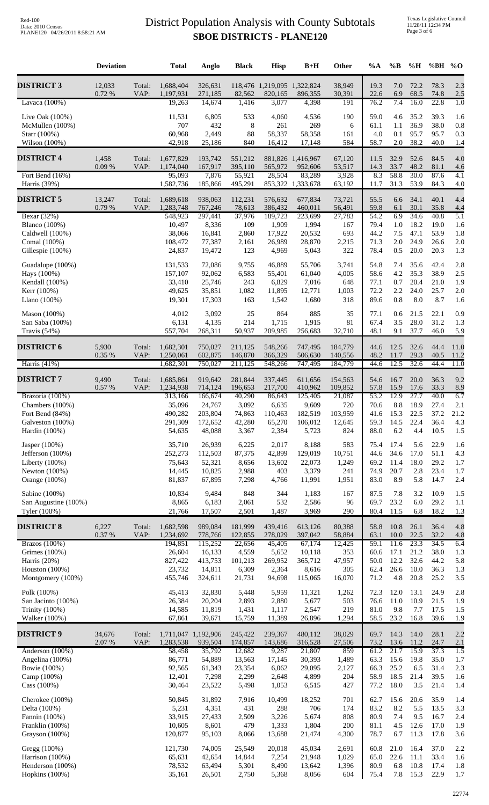### **SBOE DISTRICTS - PLANE120** District Population Analysis with County Subtotals

Texas Legislative Council 11/28/11 12:34 PM Page 3 of 6

|                                     | <b>Deviation</b> |                | <b>Total</b>           | Anglo              | <b>Black</b>       | <b>Hisp</b>                            | $B+H$                        | <b>Other</b>       | $\%A$        | $\%$ B         | %H           | %BH % $O$          |              |
|-------------------------------------|------------------|----------------|------------------------|--------------------|--------------------|----------------------------------------|------------------------------|--------------------|--------------|----------------|--------------|--------------------|--------------|
| <b>DISTRICT 3</b>                   | 12,033<br>0.72 % | Total:<br>VAP: | 1,688,404<br>1,197,931 | 326,631<br>271,185 | 82,562             | 118,476 1,219,095 1,322,824<br>820,165 | 896,355                      | 38,949<br>30,391   | 19.3<br>22.6 | 7.0<br>6.9     | 72.2<br>68.5 | 78.3<br>74.8       | 2.3<br>2.5   |
| Lavaca $(100\%)$                    |                  |                | 19,263                 | 14,674             | 1,416              | 3,077                                  | 4,398                        | 191                | 76.2         | 7.4            | 16.0         | 22.8               | 1.0          |
| Live Oak $(100\%)$                  |                  |                | 11,531                 | 6,805              | 533                | 4,060                                  | 4,536                        | 190                | 59.0         | 4.6            | 35.2         | 39.3               | 1.6          |
| McMullen (100%)<br>Starr (100%)     |                  |                | 707<br>60,968          | 432<br>2,449       | 8<br>88            | 261<br>58,337                          | 269<br>58,358                | 6<br>161           | 61.1<br>4.0  | 1.1<br>0.1     | 36.9<br>95.7 | 38.0<br>95.7       | 0.8<br>0.3   |
| Wilson (100%)                       |                  |                | 42,918                 | 25,186             | 840                | 16,412                                 | 17,148                       | 584                | 58.7         | $2.0\,$        | 38.2         | 40.0               | 1.4          |
| <b>DISTRICT 4</b>                   | 1,458<br>0.09%   | Total:<br>VAP: | 1,677,829<br>1,174,040 | 193,742<br>167,917 | 551,212<br>395,110 | 565,972                                | 881,826 1,416,967<br>952,606 | 67,120<br>53,517   | 11.5<br>14.3 | 32.9<br>33.7   | 52.6<br>48.2 | 84.5<br>81.1       | 4.0<br>4.6   |
| Fort Bend $(16\%)$<br>Harris (39%)  |                  |                | 95,093<br>1,582,736    | 7,876<br>185,866   | 55,921<br>495,291  | 28,504                                 | 83,289<br>853,322 1,333,678  | 3,928<br>63,192    | 8.3<br>11.7  | 58.8<br>31.3   | 30.0<br>53.9 | 87.6<br>84.3       | 4.1<br>4.0   |
| <b>DISTRICT 5</b>                   | 13,247           | Total:         | 1,689,618              | 938,063            | 112,231            | 576,632                                | 677,834                      | 73,721             | 55.5         | 6.6            | 34.1         | 40.1               | 4.4          |
|                                     | $0.79\ \%$       | VAP:           | 1,283,748              | 767,246            | 78,613             | 386,432                                | 460,011                      | 56,491             | 59.8         | 6.1            | 30.1         | 35.8               | 4.4          |
| Bexar (32%)<br><b>Blanco</b> (100%) |                  |                | 548,923<br>10,497      | 297,441<br>8,336   | 37,976<br>109      | 189,723<br>1,909                       | 223,699<br>1,994             | 27,783<br>167      | 54.2<br>79.4 | 6.9<br>$1.0\,$ | 34.6<br>18.2 | 40.8<br>19.0       | 5.1<br>1.6   |
| Caldwell (100%)                     |                  |                | 38,066                 | 16,841             | 2,860              | 17,922                                 | 20,532                       | 693                | 44.2         | 7.5            | 47.1         | 53.9               | 1.8          |
| Comal (100%)                        |                  |                | 108,472                | 77,387             | 2,161              | 26,989                                 | 28,870                       | 2,215              | 71.3         | 2.0            | 24.9         | 26.6               | 2.0          |
| Gillespie (100%)                    |                  |                | 24,837                 | 19,472             | 123                | 4,969                                  | 5,043                        | 322                | 78.4         | 0.5            | 20.0         | 20.3               | 1.3          |
| Guadalupe (100%)                    |                  |                | 131,533                | 72,086             | 9,755              | 46,889                                 | 55,706                       | 3,741              | 54.8         | 7.4            | 35.6         | 42.4               | 2.8          |
| Hays (100%)<br>Kendall (100%)       |                  |                | 157,107<br>33,410      | 92,062<br>25,746   | 6,583<br>243       | 55,401<br>6,829                        | 61,040<br>7,016              | 4,005<br>648       | 58.6<br>77.1 | 4.2<br>0.7     | 35.3<br>20.4 | 38.9<br>21.0       | 2.5<br>1.9   |
| Kerr (100%)                         |                  |                | 49,625                 | 35,851             | 1,082              | 11,895                                 | 12,771                       | 1,003              | 72.2         | 2.2            | 24.0         | 25.7               | 2.0          |
| Llano $(100\%)$                     |                  |                | 19,301                 | 17,303             | 163                | 1,542                                  | 1,680                        | 318                | 89.6         | $0.8\,$        | 8.0          | 8.7                | 1.6          |
| Mason (100%)                        |                  |                | 4,012                  | 3,092              | 25                 | 864                                    | 885                          | 35                 | 77.1         | 0.6            | 21.5         | 22.1               | 0.9          |
| San Saba (100%)<br>Travis $(54%)$   |                  |                | 6,131<br>557,704       | 4,135<br>268,311   | 214<br>50,937      | 1,715<br>209,985                       | 1,915<br>256,683             | 81<br>32,710       | 67.4<br>48.1 | 3.5<br>9.1     | 28.0<br>37.7 | 31.2<br>46.0       | 1.3<br>5.9   |
|                                     |                  |                |                        |                    |                    |                                        |                              |                    |              |                |              |                    |              |
| <b>DISTRICT 6</b>                   | 5,930<br>0.35%   | Total:<br>VAP: | 1,682,301<br>1,250,061 | 750,027<br>602,875 | 211,125<br>146,870 | 548,266<br>366,329                     | 747,495<br>506,630           | 184,779<br>140,556 | 44.6<br>48.2 | 12.5<br>11.7   | 32.6<br>29.3 | 44.4<br>40.5       | 11.0<br>11.2 |
| Harris $(41%)$                      |                  |                | 1,682,301              | 750,027            | 211,125            | 548,266                                | 747,495                      | 184,779            | 44.6         | 12.5           | 32.6         | 44.4               | 11.0         |
| <b>DISTRICT 7</b>                   | 9,490<br>0.57%   | Total:<br>VAP: | 1,685,861<br>1,234,938 | 919,642<br>714,124 | 281,844<br>196,653 | 337,445<br>217,700                     | 611,656<br>410,962           | 154,563<br>109,852 | 54.6<br>57.8 | 16.7<br>15.9   | 20.0<br>17.6 | 36.3<br>33.3       | 9.2<br>8.9   |
| Brazoria (100%)                     |                  |                | 313,166                | 166,674            | 40,290             | 86,643                                 | 125,405                      | 21,087             | 53.2         | 12.9           | 27.7         | 40.0               | 6.7          |
| Chambers (100%)                     |                  |                | 35,096<br>490.282      | 24,767             | 3,092              | 6,635                                  | 9,609                        | 720                | 70.6<br>41.6 | $8.8\,$        | 18.9<br>22.5 | 27.4<br>37.2       | 2.1          |
| Fort Bend (84%)<br>Galveston (100%) |                  |                | 291,309                | 203,804<br>172,652 | 74,863<br>42,280   | 110,463<br>65,270                      | 182,519<br>106,012           | 103,959<br>12,645  | 59.3         | 15.3<br>14.5   | 22.4         | 36.4               | 21.2<br>4.3  |
| Hardin (100%)                       |                  |                | 54,635                 | 48,088             | 3,367              | 2,384                                  | 5,723                        | 824                | 88.0         | 6.2            | 4.4          | 10.5               | 1.5          |
| Jasper $(100\%)$                    |                  |                | 35,710                 | 26,939             | 6,225              | 2,017                                  | 8,188                        | 583                | 75.4         | 17.4           | 5.6          | 22.9               | 1.6          |
| Jefferson (100%)                    |                  |                | 252,273                | 112,503            | 87,375             | 42,899                                 | 129,019                      | 10,751             | 44.6         | 34.6           | 17.0         | 51.1               | 4.3          |
| Liberty $(100\%)$<br>Newton (100%)  |                  |                | 75,643<br>14,445       | 52,321<br>10,825   | 8,656<br>2,988     | 13,602<br>403                          | 22,073<br>3,379              | 1,249<br>241       | 69.2<br>74.9 | 11.4<br>20.7   | 18.0<br>2.8  | 29.2<br>23.4       | 1.7<br>1.7   |
| Orange (100%)                       |                  |                | 81,837                 | 67,895             | 7,298              | 4,766                                  | 11,991                       | 1,951              | 83.0         | 8.9            | 5.8          | 14.7               | 2.4          |
| Sabine (100%)                       |                  |                | 10,834                 | 9,484              | 848                | 344                                    | 1,183                        | 167                | 87.5         | 7.8            | 3.2          | 10.9               | 1.5          |
| San Augustine (100%)                |                  |                | 8,865                  | 6,183              | 2,061              | 532                                    | 2,586                        | 96                 | 69.7         | 23.2           | 6.0          | 29.2               | 1.1          |
| Tyler (100%)                        |                  |                | 21,766                 | 17,507             | 2,501              | 1,487                                  | 3,969                        | 290                | 80.4         | 11.5           | 6.8          | 18.2               | 1.3          |
| <b>DISTRICT 8</b>                   | 6,227<br>0.37 %  | Total:<br>VAP: | 1,682,598<br>1,234,692 | 989,084<br>778,766 | 181,999<br>122,855 | 439,416<br>278,029                     | 613,126<br>397,042           | 80,388<br>58,884   | 58.8<br>63.1 | 10.8<br>10.0   | 26.1<br>22.5 | 36.4<br>32.2       | 4.8<br>4.8   |
| Brazos (100%)                       |                  |                | 194,851                | 115,252            | 22,656             | 45,405                                 | 67,174                       | 12,425             | 59.1         | 11.6           | 23.3         | 34.5               | 6.4          |
| Grimes (100%)<br>Harris $(20%)$     |                  |                | 26,604<br>827,422      | 16,133<br>413,753  | 4,559<br>101,213   | 5,652<br>269,952                       | 10,118<br>365,712            | 353<br>47,957      | 60.6<br>50.0 | 17.1<br>12.2   | 21.2<br>32.6 | 38.0<br>44.2       | 1.3<br>5.8   |
| Houston (100%)                      |                  |                | 23,732                 | 14,811             | 6,309              | 2,364                                  | 8,616                        | 305                | 62.4         | 26.6           | 10.0         | 36.3               | 1.3          |
| Montgomery (100%)                   |                  |                | 455,746                | 324,611            | 21,731             | 94,698                                 | 115,065                      | 16,070             | 71.2         | 4.8            | 20.8         | 25.2               | 3.5          |
| Polk (100%)                         |                  |                | 45,413                 | 32,830             | 5,448              | 5,959                                  | 11,321                       | 1,262              | 72.3         | 12.0           | 13.1         | 24.9               | 2.8          |
| San Jacinto (100%)                  |                  |                | 26,384                 | 20,204             | 2,893              | 2,880                                  | 5,677                        | 503                | 76.6         | 11.0           | 10.9         | 21.5               | 1.9          |
| Trinity (100%)<br>Walker (100%)     |                  |                | 14,585<br>67,861       | 11,819<br>39,671   | 1,431<br>15,759    | 1,117<br>11,389                        | 2,547<br>26,896              | 219<br>1,294       | 81.0<br>58.5 | 9.8<br>23.2    | 7.7<br>16.8  | 17.5<br>39.6       | 1.5<br>1.9   |
| <b>DISTRICT 9</b>                   | 34,676           | Total:         | 1,711,047 1,192,906    |                    | 245,422            | 239,367                                | 480,112                      | 38,029             | 69.7         | 14.3           | 14.0         | 28.1               | 2.2          |
|                                     | 2.07 %           | VAP:           | 1,283,538              | 939,504            | 174,857            | 143,686                                | 316,528                      | 27,506             | 73.2         | 13.6           | 11.2         | 24.7               | 2.1          |
| Anderson (100%)<br>Angelina (100%)  |                  |                | 58,458<br>86,771       | 35,792<br>54,889   | 12,682<br>13,563   | 9,287<br>17,145                        | 21,807<br>30,393             | 859<br>1,489       | 61.2<br>63.3 | 21.7<br>15.6   | 15.9<br>19.8 | 37.3<br>35.0       | 1.5<br>1.7   |
| Bowie (100%)                        |                  |                | 92,565                 | 61,343             | 23,354             | 6,062                                  | 29,095                       | 2,127              | 66.3         | 25.2           | 6.5          | 31.4               | 2.3          |
| Camp (100%)                         |                  |                | 12,401                 | 7,298              | 2,299              | 2,648                                  | 4,899                        | 204                | 58.9         | 18.5           | 21.4         | 39.5               | 1.6          |
| Cass (100%)                         |                  |                | 30,464                 | 23,522             | 5,498              | 1,053                                  | 6,515                        | 427                | 77.2         | 18.0           | 3.5          | 21.4               | 1.4          |
| Cherokee $(100\%)$<br>Delta (100%)  |                  |                | 50,845<br>5,231        | 31,892<br>4,351    | 7,916<br>431       | 10,499<br>288                          | 18,252<br>706                | 701<br>174         | 62.7<br>83.2 | 15.6<br>8.2    | 20.6<br>5.5  | 35.9<br>13.5       | 1.4<br>3.3   |
| Fannin (100%)                       |                  |                | 33,915                 | 27,433             | 2,509              | 3,226                                  | 5,674                        | 808                | 80.9         | 7.4            | 9.5          | 16.7               | 2.4          |
| Franklin (100%)                     |                  |                | 10,605                 | 8,601              | 479                | 1,333                                  | 1,804                        | 200                | 81.1         | 4.5            | 12.6         | 17.0               | 1.9          |
| Grayson (100%)                      |                  |                | 120,877                | 95,103             | 8,066              | 13,688                                 | 21,474                       | 4,300              | 78.7         | 6.7            | 11.3         | 17.8               | 3.6          |
| Gregg (100%)                        |                  |                | 121,730                | 74,005             | 25,549             | 20,018                                 | 45,034                       | 2,691              | 60.8         | 21.0           | 16.4         | 37.0               | 2.2          |
| Harrison (100%)<br>Henderson (100%) |                  |                | 65,631<br>78,532       | 42,654<br>63,494   | 14,844<br>5,301    | 7,254<br>8,490                         | 21,948<br>13,642             | 1,029<br>1,396     | 65.0<br>80.9 | 22.6<br>6.8    | 11.1<br>10.8 | 33.4<br>17.4       | 1.6<br>1.8   |
| Hopkins (100%)                      |                  |                | 35,161                 | 26,501             | 2,750              | 5,368                                  | 8,056                        | 604                |              |                |              | 75.4 7.8 15.3 22.9 | 1.7          |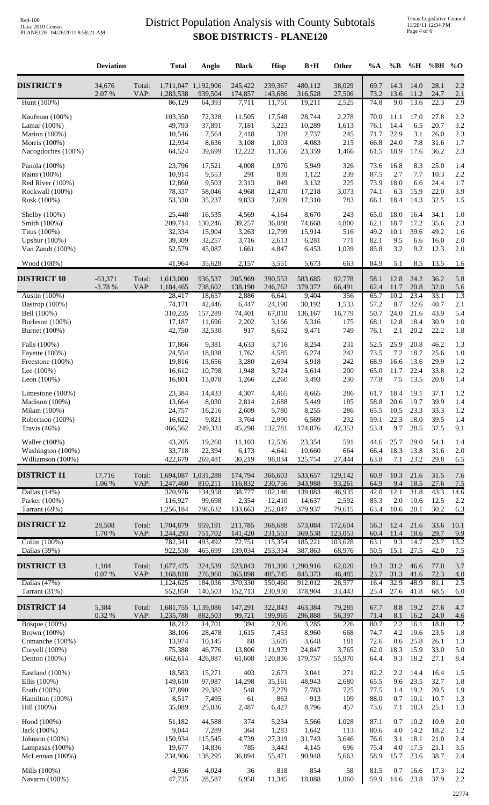### **SBOE DISTRICTS - PLANE120** District Population Analysis with County Subtotals

|                                       | <b>Deviation</b> |                | <b>Total</b>                     | Anglo                | <b>Black</b>       | <b>Hisp</b>        | $B+H$                        | Other             | $\%A$                                   | $\% \mathbf{B}$ | $\%$ H       | %BH          | $\%$ O      |
|---------------------------------------|------------------|----------------|----------------------------------|----------------------|--------------------|--------------------|------------------------------|-------------------|-----------------------------------------|-----------------|--------------|--------------|-------------|
| <b>DISTRICT 9</b>                     | 34,676<br>2.07 % | Total:<br>VAP: | 1,711,047 1,192,906<br>1,283,538 | 939,504              | 245,422<br>174,857 | 239,367<br>143,686 | 480,112<br>316,528           | 38,029<br>27,506  | 69.7<br>73.2                            | 14.3<br>13.6    | 14.0<br>11.2 | 28.1<br>24.7 | 2.2<br>2.1  |
| Hunt (100%)                           |                  |                | 86,129                           | 64,393               | 7,711              | 11,751             | 19,211                       | 2,525             | 74.8                                    | 9.0             | 13.6         | 22.3         | 2.9         |
| Kaufman (100%)                        |                  |                | 103,350                          | 72,328               | 11,505             | 17,548             | 28,744                       | 2,278             | 70.0                                    | 11.1            | 17.0         | 27.8         | 2.2         |
| Lamar (100%)                          |                  |                | 49,793                           | 37,891               | 7,181              | 3,223              | 10,289                       | 1,613             | 76.1                                    | 14.4            | 6.5          | 20.7         | 3.2         |
| Marion (100%)<br>Morris (100%)        |                  |                | 10,546                           | 7,564                | 2,418              | 328                | 2,737                        | 245<br>215        | 71.7                                    | 22.9<br>24.0    | 3.1          | 26.0         | 2.3         |
| Nacogdoches (100%)                    |                  |                | 12,934<br>64,524                 | 8,636<br>39,699      | 3,108<br>12,222    | 1,003<br>11,356    | 4,083<br>23,359              | 1,466             | 66.8<br>61.5                            | 18.9            | 7.8<br>17.6  | 31.6<br>36.2 | 1.7<br>2.3  |
| Panola (100%)                         |                  |                | 23,796                           |                      | 4,008              | 1,970              | 5,949                        | 326               | 73.6                                    | 16.8            | 8.3          | 25.0         |             |
| Rains (100%)                          |                  |                | 10,914                           | 17,521<br>9,553      | 291                | 839                | 1,122                        | 239               | 87.5                                    | 2.7             | 7.7          | 10.3         | 1.4<br>2.2  |
| Red River $(100\%)$                   |                  |                | 12,860                           | 9,503                | 2,313              | 849                | 3,132                        | 225               | 73.9                                    | 18.0            | 6.6          | 24.4         | 1.7         |
| Rockwall (100%)                       |                  |                | 78,337                           | 58,046               | 4,968              | 12,470             | 17,218                       | 3,073             | 74.1                                    | 6.3             | 15.9         | 22.0         | 3.9         |
| Rusk (100%)                           |                  |                | 53,330                           | 35,237               | 9,833              | 7,609              | 17,310                       | 783               | 66.1                                    | 18.4            | 14.3         | 32.5         | 1.5         |
| Shelby (100%)                         |                  |                | 25,448                           | 16,535               | 4,569              | 4,164              | 8,670                        | 243               | 65.0                                    | 18.0            | 16.4         | 34.1         | 1.0         |
| Smith (100%)<br>Titus (100%)          |                  |                | 209,714<br>32,334                | 130,246<br>15,904    | 39,257<br>3,263    | 36,088<br>12,799   | 74,668<br>15,914             | 4,800<br>516      | 62.1<br>49.2                            | 18.7<br>10.1    | 17.2<br>39.6 | 35.6<br>49.2 | 2.3<br>1.6  |
| Upshur (100%)                         |                  |                | 39,309                           | 32,257               | 3,716              | 2,613              | 6,281                        | 771               | 82.1                                    | 9.5             | 6.6          | 16.0         | 2.0         |
| Van Zandt (100%)                      |                  |                | 52,579                           | 45,087               | 1,661              | 4,847              | 6,453                        | 1,039             | 85.8                                    | 3.2             | 9.2          | 12.3         | 2.0         |
| Wood (100%)                           |                  |                | 41,964                           | 35,628               | 2,157              | 3,551              | 5,673                        | 663               | 84.9                                    | 5.1             | 8.5          | 13.5         | 1.6         |
| <b>DISTRICT 10</b>                    | $-63,371$        | Total:         | 1,613,000                        | 936,537              | 205,969            | 390,553            | 583,685                      | 92,778            | 58.1                                    | 12.8            | 24.2         | 36.2         | 5.8         |
|                                       | $-3.78%$         | VAP:           | 1,184,465                        | 738,602              | 138,190            | 246,762            | 379,372                      | 66,491            | 62.4                                    | 11.7            | 20.8         | 32.0         | 5.6         |
| Austin (100%)                         |                  |                | 28,417                           | 18,657               | 2,886              | 6,641              | 9,404                        | 356               | 65.7                                    | 10.2            | 23.4         | 33.1         | 1.3         |
| Bastrop (100%)<br>Bell (100%)         |                  |                | 74,171<br>310,235                | 42,446<br>157,289    | 6,447<br>74,401    | 24,190<br>67,010   | 30,192<br>136,167            | 1,533<br>16,779   | 57.2<br>50.7                            | 8.7<br>24.0     | 32.6<br>21.6 | 40.7<br>43.9 | 2.1<br>5.4  |
| Burleson (100%)                       |                  |                | 17,187                           | 11,696               | 2,202              | 3,166              | 5,316                        | 175               | 68.1                                    | 12.8            | 18.4         | 30.9         | 1.0         |
| Burnet (100%)                         |                  |                | 42,750                           | 32,530               | 917                | 8,652              | 9,471                        | 749               | 76.1                                    | 2.1             | 20.2         | 22.2         | 1.8         |
| Falls (100%)                          |                  |                | 17,866                           | 9,381                | 4,633              | 3,716              | 8,254                        | 231               | 52.5                                    | 25.9            | 20.8         | 46.2         | 1.3         |
| Fayette $(100%)$                      |                  |                | 24,554                           | 18,038               | 1,762              | 4,585              | 6,274                        | 242               | 73.5                                    | 7.2             | 18.7         | 25.6         | 1.0         |
| Freestone (100%)                      |                  |                | 19,816                           | 13,656               | 3,280              | 2,694              | 5,918                        | 242               | 68.9                                    | 16.6            | 13.6         | 29.9         | 1.2         |
| Lee $(100\%)$<br>Leon $(100\%)$       |                  |                | 16,612<br>16,801                 | 10,798<br>13,078     | 1,948              | 3,724              | 5,614<br>3,493               | 200<br>230        | 65.0<br>77.8                            | 11.7<br>7.5     | 22.4<br>13.5 | 33.8<br>20.8 | 1.2         |
|                                       |                  |                |                                  |                      | 1,266              | 2,260              |                              |                   |                                         |                 |              |              | 1.4         |
| Limestone (100%)                      |                  |                | 23,384                           | 14,433               | 4,307              | 4,465              | 8,665                        | 286               | 61.7                                    | 18.4            | 19.1         | 37.1         | 1.2         |
| Madison (100%)<br>Milam (100%)        |                  |                | 13,664<br>24,757                 | 8,030<br>16,216      | 2,814<br>2,609     | 2,688<br>5,780     | 5,449<br>8,255               | 185<br>286        | 58.8<br>65.5                            | 20.6<br>10.5    | 19.7<br>23.3 | 39.9<br>33.3 | 1.4<br>1.2  |
| Robertson (100%)                      |                  |                | 16,622                           | 9,821                | 3,704              | 2,990              | 6,569                        | 232               | 59.1                                    | 22.3            | 18.0         | 39.5         | 1.4         |
| Travis $(46%)$                        |                  |                | 466,562                          | 249,333              | 45,298             | 132,781            | 174,876                      | 42,353            | 53.4                                    | 9.7             | 28.5         | 37.5         | 9.1         |
| Waller (100%)                         |                  |                | 43,205                           | 19,260               | 11,103             | 12,536             | 23,354                       | 591               | 44.6                                    | 25.7            | 29.0         | 54.1         | 1.4         |
| Washington (100%)                     |                  |                | 33,718                           | 22,394               | 6,173              | 4,641              | 10,660                       | 664               | 66.4                                    | 18.3            | 13.8         | 31.6         | 2.0         |
| Williamson (100%)                     |                  |                | 422,679                          | 269,481              | 30,219             | 98,034             | 125,754                      | 27,444            | 63.8                                    | 7.1             | 23.2         | 29.8         | 6.5         |
| <b>DISTRICT 11</b>                    | 17,716<br>1.06 % | Total:<br>VAP: | 1,694,087<br>1,247,460           | 1,031,288<br>810,211 | 174,794<br>116,832 | 366,603<br>230,756 | 533,657<br>343,988           | 129,142<br>93,261 | 60.9<br>64.9                            | 10.3<br>9.4     | 21.6<br>18.5 | 31.5<br>27.6 | 7.6<br>7.5  |
| Dallas $(14%)$                        |                  |                | 320,976                          | 134,958              | 38,777             | 102,146            | 139,083                      | 46,935            | 42.0                                    | 12.1            | 31.8         | 43.3         | 14.6        |
| Parker (100%)                         |                  |                | 116,927                          | 99,698               | 2,354              | 12,410             | 14,637                       | 2,592             | 85.3                                    | $2.0\,$         | 10.6         | 12.5         | 2.2         |
| Tarrant (69%)                         |                  |                | 1,256,184                        | 796,632              | 133,663            | 252,047            | 379,937                      | 79,615            | 63.4                                    | 10.6            | 20.1         | 30.2         | 6.3         |
| <b>DISTRICT 12</b>                    | 28,508           | Total:         | 1,704,879                        | 959,191              | 211,785            | 368,688            | 573,084                      | 172,604           | 56.3                                    | 12.4            | 21.6         | 33.6         | 10.1        |
|                                       | 1.70 %           | VAP:           | 1,244,293                        | 751,702              | 141,420            | 231,553            | 369,538                      | 123,053           | 60.4                                    | 11.4            | 18.6         | 29.7         | 9.9         |
| Collin $(100%)$<br>Dallas (39%)       |                  |                | 782,341<br>922,538               | 493,492<br>465,699   | 72,751<br>139,034  | 115,354<br>253,334 | 185,221<br>387,863           | 103,628<br>68,976 | 63.1<br>50.5                            | 9.3<br>15.1     | 14.7<br>27.5 | 23.7<br>42.0 | 13.2<br>7.5 |
|                                       |                  |                |                                  |                      |                    |                    |                              |                   |                                         |                 |              |              |             |
| <b>DISTRICT 13</b>                    | 1,104<br>0.07 %  | Total:<br>VAP: | 1,677,475<br>1,168,818           | 324,539<br>276,960   | 523,043<br>365,898 | 485,745            | 781,390 1,290,916<br>845,373 | 62,020<br>46,485  | 19.3<br>23.7                            | 31.2<br>31.3    | 46.6<br>41.6 | 77.0<br>72.3 | 3.7<br>4.0  |
| Dallas $(47%)$                        |                  |                | 1,124,625                        | 184,036              | 370,330            | 550,460            | 912,012                      | 28,577            | 16.4                                    | 32.9            | 48.9         | 81.1         | 2.5         |
| Tarrant (31%)                         |                  |                | 552,850                          | 140,503              | 152,713            | 230,930            | 378,904                      | 33,443            | 25.4                                    | 27.6            | 41.8         | 68.5         | 6.0         |
| <b>DISTRICT 14</b>                    | 5,384            | Total:         | 1,681,755 1,139,086              |                      | 147,291            | 322,843            | 463,384                      | 79,285            | 67.7                                    | 8.8             | 19.2         | 27.6         | 4.7         |
| <b>Bosque</b> (100%)                  | 0.32%            | VAP:           | 1,235,788<br>18,212              | 882,503<br>14,701    | 99,721<br>394      | 199,965<br>2,926   | 296,888<br>3,285             | 56,397<br>226     | 71.4<br>80.7                            | 8.1<br>2.2      | 16.2<br>16.1 | 24.0<br>18.0 | 4.6<br>1.2  |
| Brown (100%)                          |                  |                | 38,106                           | 28,478               | 1,615              | 7,453              | 8,960                        | 668               | 74.7                                    | 4.2             | 19.6         | 23.5         | 1.8         |
| Comanche (100%)                       |                  |                | 13,974                           | 10,145               | 88                 | 3,605              | 3,648                        | 181               | 72.6                                    | 0.6             | 25.8         | 26.1         | 1.3         |
| Coryell (100%)<br>Denton (100%)       |                  |                | 75,388<br>662,614                | 46,776<br>426,887    | 13,806<br>61,608   | 11,973<br>120,836  | 24,847<br>179,757            | 3,765<br>55,970   | 62.0<br>64.4                            | 18.3<br>9.3     | 15.9<br>18.2 | 33.0<br>27.1 | 5.0<br>8.4  |
|                                       |                  |                |                                  |                      |                    |                    |                              |                   |                                         |                 |              |              |             |
| Eastland (100%)                       |                  |                | 18,583                           | 15,271               | 403                | 2,673              | 3,041                        | 271               | 82.2                                    | 2.2             | 14.4         | 16.4         | 1.5         |
| Ellis $(100\%)$<br>Erath (100%)       |                  |                | 149,610<br>37,890                | 97,987<br>29,382     | 14,298<br>548      | 35,161<br>7,279    | 48,943<br>7,783              | 2,680<br>725      | 65.5<br>77.5                            | 9.6<br>1.4      | 23.5<br>19.2 | 32.7<br>20.5 | 1.8<br>1.9  |
| Hamilton (100%)                       |                  |                | 8,517                            | 7,495                | 61                 | 863                | 913                          | 109               | 88.0                                    | 0.7             | 10.1         | 10.7         | 1.3         |
| Hill (100%)                           |                  |                | 35,089                           | 25,836               | 2,487              | 6,427              | 8,796                        | 457               | 73.6                                    | 7.1             | 18.3         | 25.1         | 1.3         |
| Hood (100%)                           |                  |                | 51,182                           | 44,588               | 374                | 5,234              | 5,566                        | 1,028             | 87.1                                    | 0.7             | 10.2         | 10.9         | 2.0         |
| Jack (100%)                           |                  |                | 9,044                            | 7,289                | 364                | 1,283              | 1,642                        | 113               | 80.6                                    | 4.0             | 14.2         | 18.2         | 1.2         |
| Johnson (100%)                        |                  |                | 150,934                          | 115,545              | 4,739              | 27,319             | 31,743                       | 3,646             | 76.6                                    | 3.1             | 18.1         | 21.0         | 2.4         |
| Lampasas $(100\%)$<br>McLennan (100%) |                  |                | 19,677<br>234,906                | 14,836<br>138,295    | 785<br>36,894      | 3,443<br>55,471    | 4,145<br>90,948              | 696<br>5,663      | 75.4<br>58.9                            | 4.0<br>15.7     | 17.5<br>23.6 | 21.1<br>38.7 | 3.5<br>2.4  |
|                                       |                  |                |                                  |                      |                    |                    |                              |                   |                                         |                 |              |              |             |
| Mills (100%)<br>Navarro (100%)        |                  |                | 4,936<br>47,735                  | 4,024<br>28,587      | 36<br>6,958        | 818<br>11,345      | 854<br>18,088                | 58                | 81.5<br>1,060   59.9 14.6 23.8 37.9 2.2 | 0.7             | 16.6         | 17.3         | 1.2         |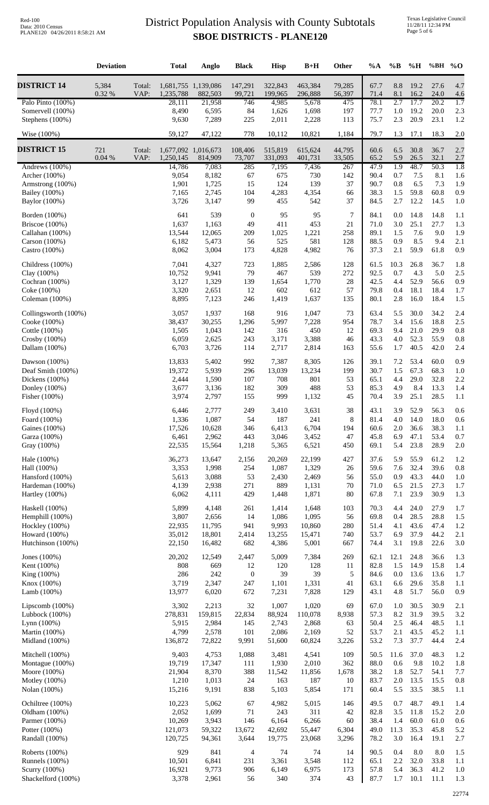### **SBOE DISTRICTS - PLANE120** District Population Analysis with County Subtotals

|                                                                                                              | <b>Deviation</b> |                | <b>Total</b>                                         | Anglo                                              | <b>Black</b>                                  | <b>Hisp</b>                                   | $B+H$                                           | Other                               | %A                                           | $\%$ B                                 | $\%$ H                                      | %BH % $O$                                    |                                        |
|--------------------------------------------------------------------------------------------------------------|------------------|----------------|------------------------------------------------------|----------------------------------------------------|-----------------------------------------------|-----------------------------------------------|-------------------------------------------------|-------------------------------------|----------------------------------------------|----------------------------------------|---------------------------------------------|----------------------------------------------|----------------------------------------|
| <b>DISTRICT 14</b>                                                                                           | 5,384<br>0.32 %  | Total:<br>VAP: | 1,681,755 1,139,086<br>1,235,788                     | 882,503                                            | 147,291<br>99,721                             | 322,843<br>199,965                            | 463,384<br>296,888                              | 79,285<br>56,397                    | 67.7<br>71.4                                 | 8.8<br>8.1                             | 19.2<br>16.2                                | 27.6<br>24.0                                 | 4.7<br>4.6                             |
| Palo Pinto (100%)<br>Somervell (100%)<br>Stephens (100%)                                                     |                  |                | 28,111<br>8,490<br>9,630                             | 21,958<br>6,595<br>7,289                           | 746<br>84<br>225                              | 4,985<br>1,626<br>2,011                       | 5,678<br>1,698<br>2,228                         | 475<br>197<br>113                   | 78.1<br>77.7<br>75.7                         | 2.7<br>1.0<br>2.3                      | 17.7<br>19.2<br>20.9                        | 20.2<br>20.0<br>23.1                         | 1.7<br>2.3<br>1.2                      |
| Wise (100%)                                                                                                  |                  |                | 59,127                                               | 47,122                                             | 778                                           | 10,112                                        | 10,821                                          | 1,184                               | 79.7                                         | 1.3                                    | 17.1                                        | 18.3                                         | 2.0                                    |
| <b>DISTRICT 15</b>                                                                                           | 721<br>0.04%     | Total:<br>VAP: | 1,677,092 1,016,673<br>1,250,145                     | 814,909                                            | 108,406<br>73,707                             | 515,819<br>331,093                            | 615,624<br>401,731                              | 44,795<br>33,505                    | 60.6<br>65.2                                 | 6.5<br>5.9                             | 30.8<br>26.5                                | 36.7<br>32.1                                 | 2.7<br>2.7                             |
| Andrews (100%)                                                                                               |                  |                | 14,786                                               | 7,083                                              | 285                                           | 7,195                                         | 7,436                                           | 267                                 | 47.9                                         | 1.9                                    | 48.7                                        | 50.3                                         | 1.8                                    |
| Archer (100%)<br>Armstrong (100%)<br>Bailey (100%)<br>Baylor (100%)                                          |                  |                | 9,054<br>1,901<br>7,165<br>3,726                     | 8,182<br>1,725<br>2,745<br>3,147                   | 67<br>15<br>104<br>99                         | 675<br>124<br>4,283<br>455                    | 730<br>139<br>4,354<br>542                      | 142<br>37<br>66<br>37               | 90.4<br>90.7<br>38.3<br>84.5                 | 0.7<br>$0.8\,$<br>1.5<br>2.7           | 7.5<br>6.5<br>59.8<br>12.2                  | 8.1<br>7.3<br>60.8<br>14.5                   | 1.6<br>1.9<br>0.9<br>1.0               |
| Borden (100%)<br>Briscoe $(100\%)$<br>Callahan (100%)<br>Carson (100%)<br>Castro (100%)                      |                  |                | 641<br>1,637<br>13,544<br>6,182<br>8,062             | 539<br>1,163<br>12,065<br>5,473<br>3,004           | $\mathbf{0}$<br>49<br>209<br>56<br>173        | 95<br>411<br>1,025<br>525<br>4,828            | 95<br>453<br>1,221<br>581<br>4,982              | 7<br>21<br>258<br>128<br>76         | 84.1<br>71.0<br>89.1<br>88.5<br>37.3         | 0.0<br>3.0<br>1.5<br>0.9<br>2.1        | 14.8<br>25.1<br>7.6<br>8.5<br>59.9          | 14.8<br>27.7<br>9.0<br>9.4<br>61.8           | 1.1<br>1.3<br>1.9<br>2.1<br>0.9        |
| Childress (100%)<br>Clay (100%)<br>Cochran (100%)<br>Coke (100%)<br>Coleman (100%)                           |                  |                | 7,041<br>10,752<br>3,127<br>3,320<br>8,895           | 4,327<br>9,941<br>1,329<br>2,651<br>7,123          | 723<br>79<br>139<br>12<br>246                 | 1,885<br>467<br>1,654<br>602<br>1,419         | 2,586<br>539<br>1,770<br>612<br>1,637           | 128<br>272<br>28<br>57<br>135       | 61.5<br>92.5<br>42.5<br>79.8<br>80.1         | 10.3<br>0.7<br>4.4<br>0.4<br>2.8       | 26.8<br>4.3<br>52.9<br>18.1<br>16.0         | 36.7<br>5.0<br>56.6<br>18.4<br>18.4          | 1.8<br>2.5<br>0.9<br>1.7<br>1.5        |
| Collingsworth (100%)<br>Cooke (100%)<br>Cottle (100%)<br>Crosby (100%)                                       |                  |                | 3,057<br>38,437<br>1,505<br>6,059                    | 1,937<br>30,255<br>1,043<br>2,625                  | 168<br>1,296<br>142<br>243                    | 916<br>5,997<br>316<br>3,171                  | 1,047<br>7,228<br>450<br>3,388                  | 73<br>954<br>12<br>46               | 63.4<br>78.7<br>69.3<br>43.3                 | 5.5<br>3.4<br>9.4<br>4.0               | 30.0<br>15.6<br>21.0<br>52.3                | 34.2<br>18.8<br>29.9<br>55.9                 | 2.4<br>2.5<br>0.8<br>0.8               |
| Dallam (100%)<br>Dawson $(100\%)$<br>Deaf Smith (100%)<br>Dickens $(100%)$<br>Donley (100%)<br>Fisher (100%) |                  |                | 6,703<br>13,833<br>19,372<br>2,444<br>3,677<br>3,974 | 3,726<br>5,402<br>5,939<br>1,590<br>3,136<br>2,797 | 114<br>992<br>296<br>107<br>182<br>155        | 2,717<br>7,387<br>13,039<br>708<br>309<br>999 | 2,814<br>8,305<br>13,234<br>801<br>488<br>1,132 | 163<br>126<br>199<br>53<br>53<br>45 | 55.6<br>39.1<br>30.7<br>65.1<br>85.3<br>70.4 | 1.7<br>7.2<br>1.5<br>4.4<br>4.9<br>3.9 | 40.5<br>53.4<br>67.3<br>29.0<br>8.4<br>25.1 | 42.0<br>60.0<br>68.3<br>32.8<br>13.3<br>28.5 | 2.4<br>0.9<br>1.0<br>2.2<br>1.4<br>1.1 |
| Floyd (100%)<br>Foard (100%)<br>Gaines (100%)<br>Garza (100%)<br>Gray (100%)                                 |                  |                | 6,446<br>1,336<br>17,526<br>6,461<br>22,535          | 2,777<br>1,087<br>10,628<br>2,962<br>15,564        | 249<br>54<br>346<br>443<br>1,218              | 3,410<br>187<br>6,413<br>3,046<br>5,365       | 3,631<br>241<br>6,704<br>3,452<br>6,521         | 38<br>8<br>194<br>47<br>450         | 43.1<br>81.4<br>60.6<br>45.8<br>69.1         | 3.9<br>4.0<br>2.0<br>6.9<br>5.4        | 52.9<br>14.0<br>36.6<br>47.1<br>23.8        | 56.3<br>18.0<br>38.3<br>53.4<br>28.9         | 0.6<br>0.6<br>1.1<br>0.7<br>2.0        |
| Hale (100%)<br>Hall (100%)<br>Hansford (100%)<br>Hardeman (100%)<br>Hartley (100%)                           |                  |                | 36,273<br>3,353<br>5,613<br>4,139<br>6,062           | 13,647<br>1,998<br>3,088<br>2,938<br>4,111         | 2,156<br>254<br>53<br>271<br>429              | 20,269<br>1,087<br>2,430<br>889<br>1,448      | 22,199<br>1,329<br>2,469<br>1,131<br>1,871      | 427<br>26<br>56<br>70<br>80         | 37.6<br>59.6<br>55.0<br>71.0<br>67.8         | 5.9<br>7.6<br>0.9<br>6.5<br>7.1        | 55.9<br>32.4<br>43.3<br>21.5<br>23.9        | 61.2<br>39.6<br>44.0<br>27.3<br>30.9         | 1.2<br>0.8<br>1.0<br>1.7<br>1.3        |
| Haskell (100%)<br>Hemphill (100%)<br>Hockley (100%)<br>Howard (100%)<br>Hutchinson (100%)                    |                  |                | 5,899<br>3,807<br>22,935<br>35,012<br>22,150         | 4,148<br>2,656<br>11,795<br>18,801<br>16,482       | 261<br>14<br>941<br>2,414<br>682              | 1,414<br>1,086<br>9,993<br>13,255<br>4,386    | 1,648<br>1,095<br>10,860<br>15,471<br>5,001     | 103<br>56<br>280<br>740<br>667      | 70.3<br>69.8<br>51.4<br>53.7<br>74.4         | 4.4<br>0.4<br>4.1<br>6.9<br>3.1        | 24.0<br>28.5<br>43.6<br>37.9<br>19.8        | 27.9<br>28.8<br>47.4<br>44.2<br>22.6         | 1.7<br>1.5<br>1.2<br>2.1<br>3.0        |
| Jones (100%)<br>Kent (100%)<br>King (100%)<br>Knox (100%)<br>Lamb (100%)                                     |                  |                | 20,202<br>808<br>286<br>3,719<br>13,977              | 12,549<br>669<br>242<br>2,347<br>6,020             | 2,447<br>12<br>$\boldsymbol{0}$<br>247<br>672 | 5,009<br>120<br>39<br>1,101<br>7,231          | 7,384<br>128<br>39<br>1,331<br>7,828            | 269<br>11<br>5<br>41<br>129         | 62.1<br>82.8<br>84.6<br>63.1<br>43.1         | 12.1<br>1.5<br>0.0<br>6.6<br>4.8       | 24.8<br>14.9<br>13.6<br>29.6<br>51.7        | 36.6<br>15.8<br>13.6<br>35.8<br>56.0         | 1.3<br>1.4<br>1.7<br>1.1<br>0.9        |
| Lipscomb $(100%)$<br>Lubbock (100%)<br>Lynn (100%)<br>Martin (100%)<br>Midland (100%)                        |                  |                | 3,302<br>278,831<br>5,915<br>4,799<br>136,872        | 2,213<br>159,815<br>2,984<br>2,578<br>72,822       | 32<br>22,834<br>145<br>101<br>9,991           | 1,007<br>88,924<br>2,743<br>2,086<br>51,600   | 1,020<br>110,078<br>2,868<br>2,169<br>60,824    | 69<br>8,938<br>63<br>52<br>3,226    | 67.0<br>57.3<br>50.4<br>53.7<br>53.2         | 1.0<br>8.2<br>$2.5\,$<br>2.1<br>7.3    | 30.5<br>31.9<br>46.4<br>43.5<br>37.7        | 30.9<br>39.5<br>48.5<br>45.2<br>44.4         | 2.1<br>3.2<br>1.1<br>1.1<br>2.4        |
| Mitchell (100%)<br>Montague (100%)<br>Moore (100%)<br>Motley (100%)<br>Nolan (100%)                          |                  |                | 9,403<br>19,719<br>21,904<br>1,210<br>15,216         | 4,753<br>17,347<br>8,370<br>1,013<br>9,191         | 1,088<br>111<br>388<br>24<br>838              | 3,481<br>1,930<br>11,542<br>163<br>5,103      | 4,541<br>2,010<br>11,856<br>187<br>5,854        | 109<br>362<br>1,678<br>10<br>171    | 50.5<br>88.0<br>38.2<br>83.7<br>60.4         | 11.6<br>0.6<br>1.8<br>$2.0\,$<br>5.5   | 37.0<br>9.8<br>52.7<br>13.5<br>33.5         | 48.3<br>10.2<br>54.1<br>15.5<br>38.5         | 1.2<br>1.8<br>7.7<br>0.8<br>1.1        |
| Ochiltree (100%)<br>Oldham (100%)<br>Parmer (100%)<br>Potter $(100\%)$<br>Randall (100%)                     |                  |                | 10,223<br>2,052<br>10,269<br>121,073<br>120,725      | 5,062<br>1,699<br>3,943<br>59,322<br>94,361        | 67<br>71<br>146<br>13,672<br>3,644            | 4,982<br>243<br>6,164<br>42,692<br>19,775     | 5,015<br>311<br>6,266<br>55,447<br>23,068       | 146<br>42<br>60<br>6,304<br>3,296   | 49.5<br>82.8<br>38.4<br>49.0<br>78.2         | 0.7<br>3.5<br>1.4<br>11.3<br>3.0       | 48.7<br>11.8<br>60.0<br>35.3<br>16.4        | 49.1<br>15.2<br>61.0<br>45.8<br>19.1         | 1.4<br>2.0<br>0.6<br>5.2<br>2.7        |
| Roberts (100%)<br><b>Runnels</b> (100%)<br>Scurry (100%)<br>Shackelford (100%)                               |                  |                | 929<br>10,501<br>16,921<br>3,378                     | 841<br>6,841<br>9,773<br>2,961                     | $\overline{4}$<br>231<br>906<br>56            | 74<br>3,361<br>6,149<br>340                   | 74<br>3,548<br>6,975<br>374                     | 14<br>112<br>173<br>43              | 90.5<br>65.1<br>57.8<br>87.7                 | 0.4<br>2.2<br>5.4                      | 8.0<br>32.0<br>36.3<br>$1.7$ $10.1$ $11.1$  | $\ \, 8.0$<br>33.8<br>41.2                   | 1.5<br>1.1<br>1.0<br>1.3               |